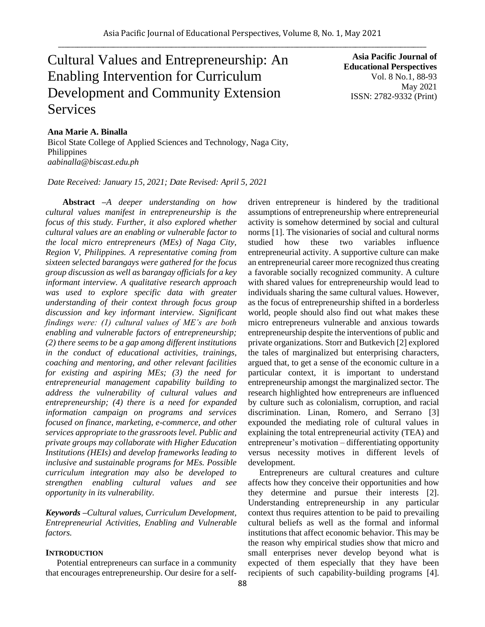# Cultural Values and Entrepreneurship: An Enabling Intervention for Curriculum Development and Community Extension Services

**Asia Pacific Journal of Educational Perspectives**  Vol. 8 No.1, 88-93 May 2021 ISSN: 2782-9332 (Print)

#### **Ana Marie A. Binalla**

Bicol State College of Applied Sciences and Technology, Naga City, Philippines *aabinalla@biscast.edu.ph*

*Date Received: January 15, 2021; Date Revised: April 5, 2021*

**Abstract** *–A deeper understanding on how cultural values manifest in entrepreneurship is the focus of this study. Further, it also explored whether cultural values are an enabling or vulnerable factor to the local micro entrepreneurs (MEs) of Naga City, Region V, Philippines. A representative coming from sixteen selected barangays were gathered for the focus group discussion as well as barangay officials for a key informant interview. A qualitative research approach was used to explore specific data with greater understanding of their context through focus group discussion and key informant interview. Significant findings were: (1) cultural values of ME's are both enabling and vulnerable factors of entrepreneurship; (2) there seems to be a gap among different institutions in the conduct of educational activities, trainings, coaching and mentoring, and other relevant facilities for existing and aspiring MEs; (3) the need for entrepreneurial management capability building to address the vulnerability of cultural values and entrepreneurship; (4) there is a need for expanded information campaign on programs and services focused on finance, marketing, e-commerce, and other services appropriate to the grassroots level. Public and private groups may collaborate with Higher Education Institutions (HEIs) and develop frameworks leading to inclusive and sustainable programs for MEs. Possible curriculum integration may also be developed to strengthen enabling cultural values and see opportunity in its vulnerability.*

*Keywords –Cultural values, Curriculum Development, Entrepreneurial Activities, Enabling and Vulnerable factors.*

## **INTRODUCTION**

Potential entrepreneurs can surface in a community that encourages entrepreneurship. Our desire for a selfdriven entrepreneur is hindered by the traditional assumptions of entrepreneurship where entrepreneurial activity is somehow determined by social and cultural norms [1]. The visionaries of social and cultural norms studied how these two variables influence entrepreneurial activity. A supportive culture can make an entrepreneurial career more recognized thus creating a favorable socially recognized community. A culture with shared values for entrepreneurship would lead to individuals sharing the same cultural values. However, as the focus of entrepreneurship shifted in a borderless world, people should also find out what makes these micro entrepreneurs vulnerable and anxious towards entrepreneurship despite the interventions of public and private organizations. Storr and Butkevich [2] explored the tales of marginalized but enterprising characters, argued that, to get a sense of the economic culture in a particular context, it is important to understand entrepreneurship amongst the marginalized sector. The research highlighted how entrepreneurs are influenced by culture such as colonialism, corruption, and racial discrimination. Linan, Romero, and Serrano [3] expounded the mediating role of cultural values in explaining the total entrepreneurial activity (TEA) and entrepreneur's motivation – differentiating opportunity versus necessity motives in different levels of development.

Entrepreneurs are cultural creatures and culture affects how they conceive their opportunities and how they determine and pursue their interests [2]. Understanding entrepreneurship in any particular context thus requires attention to be paid to prevailing cultural beliefs as well as the formal and informal institutions that affect economic behavior. This may be the reason why empirical studies show that micro and small enterprises never develop beyond what is expected of them especially that they have been recipients of such capability-building programs [4].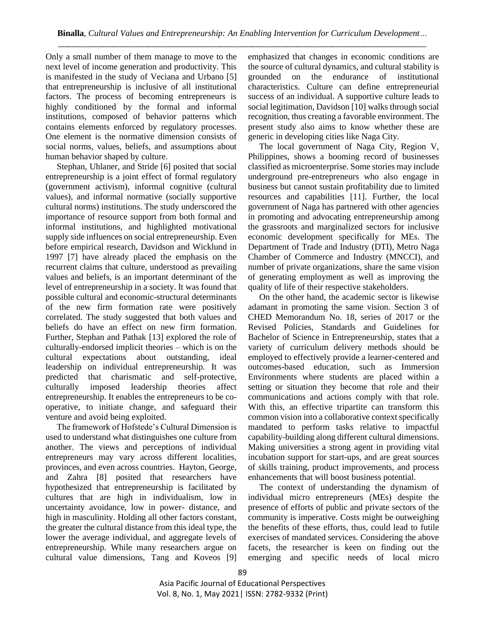Only a small number of them manage to move to the next level of income generation and productivity. This is manifested in the study of Veciana and Urbano [5] that entrepreneurship is inclusive of all institutional factors. The process of becoming entrepreneurs is highly conditioned by the formal and informal institutions, composed of behavior patterns which contains elements enforced by regulatory processes. One element is the normative dimension consists of social norms, values, beliefs, and assumptions about human behavior shaped by culture.

Stephan, Uhlaner, and Stride [6] posited that social entrepreneurship is a joint effect of formal regulatory (government activism), informal cognitive (cultural values), and informal normative (socially supportive cultural norms) institutions. The study underscored the importance of resource support from both formal and informal institutions, and highlighted motivational supply side influences on social entrepreneurship. Even before empirical research, Davidson and Wicklund in 1997 [7] have already placed the emphasis on the recurrent claims that culture, understood as prevailing values and beliefs, is an important determinant of the level of entrepreneurship in a society. It was found that possible cultural and economic-structural determinants of the new firm formation rate were positively correlated. The study suggested that both values and beliefs do have an effect on new firm formation. Further, Stephan and Pathak [13] explored the role of culturally-endorsed implicit theories – which is on the cultural expectations about outstanding, ideal leadership on individual entrepreneurship. It was predicted that charismatic and self-protective, culturally imposed leadership theories affect entrepreneurship. It enables the entrepreneurs to be cooperative, to initiate change, and safeguard their venture and avoid being exploited.

The framework of Hofstede's Cultural Dimension is used to understand what distinguishes one culture from another. The views and perceptions of individual entrepreneurs may vary across different localities, provinces, and even across countries. Hayton, George, and Zahra [8] posited that researchers have hypothesized that entrepreneurship is facilitated by cultures that are high in individualism, low in uncertainty avoidance, low in power- distance, and high in masculinity. Holding all other factors constant, the greater the cultural distance from this ideal type, the lower the average individual, and aggregate levels of entrepreneurship. While many researchers argue on cultural value dimensions, Tang and Koveos [9] emphasized that changes in economic conditions are the source of cultural dynamics, and cultural stability is grounded on the endurance of institutional characteristics. Culture can define entrepreneurial success of an individual. A supportive culture leads to social legitimation, Davidson [10] walks through social recognition, thus creating a favorable environment. The present study also aims to know whether these are generic in developing cities like Naga City.

The local government of Naga City, Region V, Philippines, shows a booming record of businesses classified as microenterprise. Some stories may include underground pre-entrepreneurs who also engage in business but cannot sustain profitability due to limited resources and capabilities [11]. Further, the local government of Naga has partnered with other agencies in promoting and advocating entrepreneurship among the grassroots and marginalized sectors for inclusive economic development specifically for MEs. The Department of Trade and Industry (DTI), Metro Naga Chamber of Commerce and Industry (MNCCI), and number of private organizations, share the same vision of generating employment as well as improving the quality of life of their respective stakeholders.

On the other hand, the academic sector is likewise adamant in promoting the same vision. Section 3 of CHED Memorandum No. 18, series of 2017 or the Revised Policies, Standards and Guidelines for Bachelor of Science in Entrepreneurship, states that a variety of curriculum delivery methods should be employed to effectively provide a learner-centered and outcomes-based education, such as Immersion Environments where students are placed within a setting or situation they become that role and their communications and actions comply with that role. With this, an effective tripartite can transform this common vision into a collaborative context specifically mandated to perform tasks relative to impactful capability-building along different cultural dimensions. Making universities a strong agent in providing vital incubation support for start-ups, and are great sources of skills training, product improvements, and process enhancements that will boost business potential.

The context of understanding the dynamism of individual micro entrepreneurs (MEs) despite the presence of efforts of public and private sectors of the community is imperative. Costs might be outweighing the benefits of these efforts, thus, could lead to futile exercises of mandated services. Considering the above facets, the researcher is keen on finding out the emerging and specific needs of local micro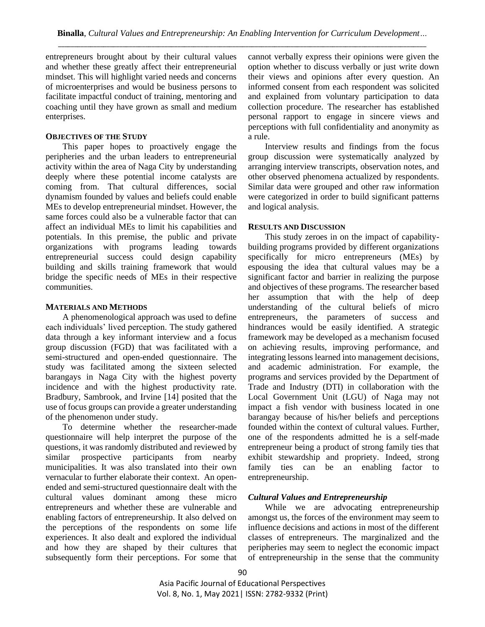entrepreneurs brought about by their cultural values and whether these greatly affect their entrepreneurial mindset. This will highlight varied needs and concerns of microenterprises and would be business persons to facilitate impactful conduct of training, mentoring and coaching until they have grown as small and medium enterprises.

#### **OBJECTIVES OF THE STUDY**

This paper hopes to proactively engage the peripheries and the urban leaders to entrepreneurial activity within the area of Naga City by understanding deeply where these potential income catalysts are coming from. That cultural differences, social dynamism founded by values and beliefs could enable MEs to develop entrepreneurial mindset. However, the same forces could also be a vulnerable factor that can affect an individual MEs to limit his capabilities and potentials. In this premise, the public and private organizations with programs leading towards entrepreneurial success could design capability building and skills training framework that would bridge the specific needs of MEs in their respective communities.

#### **MATERIALS AND METHODS**

A phenomenological approach was used to define each individuals' lived perception. The study gathered data through a key informant interview and a focus group discussion (FGD) that was facilitated with a semi-structured and open-ended questionnaire. The study was facilitated among the sixteen selected barangays in Naga City with the highest poverty incidence and with the highest productivity rate. Bradbury, Sambrook, and Irvine [14] posited that the use of focus groups can provide a greater understanding of the phenomenon under study.

To determine whether the researcher-made questionnaire will help interpret the purpose of the questions, it was randomly distributed and reviewed by similar prospective participants from nearby municipalities. It was also translated into their own vernacular to further elaborate their context. An openended and semi-structured questionnaire dealt with the cultural values dominant among these micro entrepreneurs and whether these are vulnerable and enabling factors of entrepreneurship. It also delved on the perceptions of the respondents on some life experiences. It also dealt and explored the individual and how they are shaped by their cultures that subsequently form their perceptions. For some that

cannot verbally express their opinions were given the option whether to discuss verbally or just write down their views and opinions after every question. An informed consent from each respondent was solicited and explained from voluntary participation to data collection procedure. The researcher has established personal rapport to engage in sincere views and perceptions with full confidentiality and anonymity as a rule.

Interview results and findings from the focus group discussion were systematically analyzed by arranging interview transcripts, observation notes, and other observed phenomena actualized by respondents. Similar data were grouped and other raw information were categorized in order to build significant patterns and logical analysis.

#### **RESULTS AND DISCUSSION**

This study zeroes in on the impact of capabilitybuilding programs provided by different organizations specifically for micro entrepreneurs (MEs) by espousing the idea that cultural values may be a significant factor and barrier in realizing the purpose and objectives of these programs. The researcher based her assumption that with the help of deep understanding of the cultural beliefs of micro entrepreneurs, the parameters of success and hindrances would be easily identified. A strategic framework may be developed as a mechanism focused on achieving results, improving performance, and integrating lessons learned into management decisions, and academic administration. For example, the programs and services provided by the Department of Trade and Industry (DTI) in collaboration with the Local Government Unit (LGU) of Naga may not impact a fish vendor with business located in one barangay because of his/her beliefs and perceptions founded within the context of cultural values. Further, one of the respondents admitted he is a self-made entrepreneur being a product of strong family ties that exhibit stewardship and propriety. Indeed, strong family ties can be an enabling factor to entrepreneurship.

#### *Cultural Values and Entrepreneurship*

While we are advocating entrepreneurship amongst us, the forces of the environment may seem to influence decisions and actions in most of the different classes of entrepreneurs. The marginalized and the peripheries may seem to neglect the economic impact of entrepreneurship in the sense that the community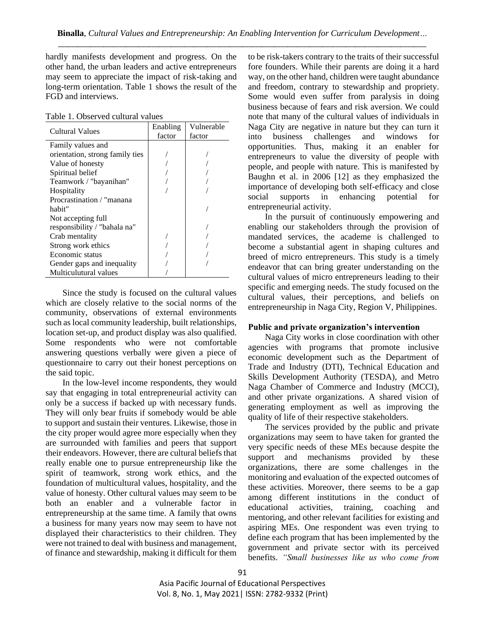hardly manifests development and progress. On the other hand, the urban leaders and active entrepreneurs may seem to appreciate the impact of risk-taking and long-term orientation. Table 1 shows the result of the FGD and interviews.

Table 1. Observed cultural values

| Cultural Values                 | Enabling | Vulnerable |
|---------------------------------|----------|------------|
|                                 | factor   | factor     |
| Family values and               |          |            |
| orientation, strong family ties |          |            |
| Value of honesty                |          |            |
| Spiritual belief                |          |            |
| Teamwork / "bayanihan"          |          |            |
| Hospitality                     |          |            |
| Procrastination / "manana"      |          |            |
| habit"                          |          |            |
| Not accepting full              |          |            |
| responsibility / "bahala na"    |          |            |
| Crab mentality                  |          |            |
| Strong work ethics              |          |            |
| Economic status                 |          |            |
| Gender gaps and inequality      |          |            |
| Multiculutural values           |          |            |

Since the study is focused on the cultural values which are closely relative to the social norms of the community, observations of external environments such as local community leadership, built relationships, location set-up, and product display was also qualified. Some respondents who were not comfortable answering questions verbally were given a piece of questionnaire to carry out their honest perceptions on the said topic.

In the low-level income respondents, they would say that engaging in total entrepreneurial activity can only be a success if backed up with necessary funds. They will only bear fruits if somebody would be able to support and sustain their ventures. Likewise, those in the city proper would agree more especially when they are surrounded with families and peers that support their endeavors. However, there are cultural beliefs that really enable one to pursue entrepreneurship like the spirit of teamwork, strong work ethics, and the foundation of multicultural values, hospitality, and the value of honesty. Other cultural values may seem to be both an enabler and a vulnerable factor in entrepreneurship at the same time. A family that owns a business for many years now may seem to have not displayed their characteristics to their children. They were not trained to deal with business and management, of finance and stewardship, making it difficult for them to be risk-takers contrary to the traits of their successful fore founders. While their parents are doing it a hard way, on the other hand, children were taught abundance and freedom, contrary to stewardship and propriety. Some would even suffer from paralysis in doing business because of fears and risk aversion. We could note that many of the cultural values of individuals in Naga City are negative in nature but they can turn it into business challenges and windows for opportunities. Thus, making it an enabler for entrepreneurs to value the diversity of people with people, and people with nature. This is manifested by Baughn et al. in 2006 [12] as they emphasized the importance of developing both self-efficacy and close social supports in enhancing potential for entrepreneurial activity.

In the pursuit of continuously empowering and enabling our stakeholders through the provision of mandated services, the academe is challenged to become a substantial agent in shaping cultures and breed of micro entrepreneurs. This study is a timely endeavor that can bring greater understanding on the cultural values of micro entrepreneurs leading to their specific and emerging needs. The study focused on the cultural values, their perceptions, and beliefs on entrepreneurship in Naga City, Region V, Philippines.

#### **Public and private organization's intervention**

Naga City works in close coordination with other agencies with programs that promote inclusive economic development such as the Department of Trade and Industry (DTI), Technical Education and Skills Development Authority (TESDA), and Metro Naga Chamber of Commerce and Industry (MCCI), and other private organizations. A shared vision of generating employment as well as improving the quality of life of their respective stakeholders.

The services provided by the public and private organizations may seem to have taken for granted the very specific needs of these MEs because despite the support and mechanisms provided by these organizations, there are some challenges in the monitoring and evaluation of the expected outcomes of these activities. Moreover, there seems to be a gap among different institutions in the conduct of educational activities, training, coaching and mentoring, and other relevant facilities for existing and aspiring MEs. One respondent was even trying to define each program that has been implemented by the government and private sector with its perceived benefits. *"Small businesses like us who come from*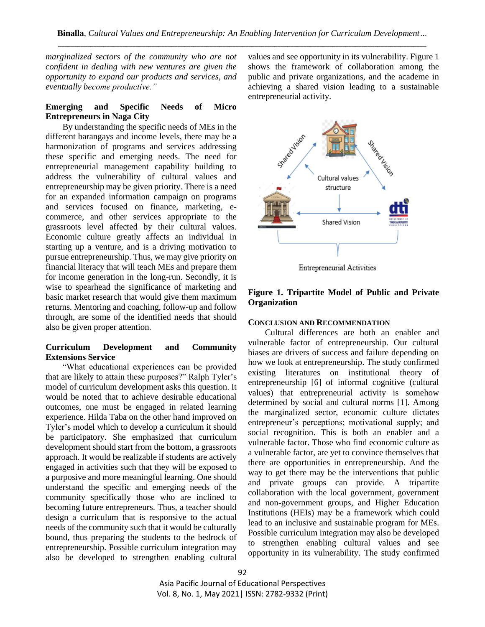*marginalized sectors of the community who are not confident in dealing with new ventures are given the opportunity to expand our products and services, and eventually become productive."* 

### **Emerging and Specific Needs of Micro Entrepreneurs in Naga City**

By understanding the specific needs of MEs in the different barangays and income levels, there may be a harmonization of programs and services addressing these specific and emerging needs. The need for entrepreneurial management capability building to address the vulnerability of cultural values and entrepreneurship may be given priority. There is a need for an expanded information campaign on programs and services focused on finance, marketing, ecommerce, and other services appropriate to the grassroots level affected by their cultural values. Economic culture greatly affects an individual in starting up a venture, and is a driving motivation to pursue entrepreneurship. Thus, we may give priority on financial literacy that will teach MEs and prepare them for income generation in the long-run. Secondly, it is wise to spearhead the significance of marketing and basic market research that would give them maximum returns. Mentoring and coaching, follow-up and follow through, are some of the identified needs that should also be given proper attention.

## **Curriculum Development and Community Extensions Service**

"What educational experiences can be provided that are likely to attain these purposes?" Ralph Tyler's model of curriculum development asks this question. It would be noted that to achieve desirable educational outcomes, one must be engaged in related learning experience. Hilda Taba on the other hand improved on Tyler's model which to develop a curriculum it should be participatory. She emphasized that curriculum development should start from the bottom, a grassroots approach. It would be realizable if students are actively engaged in activities such that they will be exposed to a purposive and more meaningful learning. One should understand the specific and emerging needs of the community specifically those who are inclined to becoming future entrepreneurs. Thus, a teacher should design a curriculum that is responsive to the actual needs of the community such that it would be culturally bound, thus preparing the students to the bedrock of entrepreneurship. Possible curriculum integration may also be developed to strengthen enabling cultural

values and see opportunity in its vulnerability. Figure 1 shows the framework of collaboration among the public and private organizations, and the academe in achieving a shared vision leading to a sustainable entrepreneurial activity.



**Entrepreneurial Activities** 

## **Figure 1. Tripartite Model of Public and Private Organization**

## **CONCLUSION AND RECOMMENDATION**

Cultural differences are both an enabler and vulnerable factor of entrepreneurship. Our cultural biases are drivers of success and failure depending on how we look at entrepreneurship. The study confirmed existing literatures on institutional theory of entrepreneurship [6] of informal cognitive (cultural values) that entrepreneurial activity is somehow determined by social and cultural norms [1]. Among the marginalized sector, economic culture dictates entrepreneur's perceptions; motivational supply; and social recognition. This is both an enabler and a vulnerable factor. Those who find economic culture as a vulnerable factor, are yet to convince themselves that there are opportunities in entrepreneurship. And the way to get there may be the interventions that public and private groups can provide. A tripartite collaboration with the local government, government and non-government groups, and Higher Education Institutions (HEIs) may be a framework which could lead to an inclusive and sustainable program for MEs. Possible curriculum integration may also be developed to strengthen enabling cultural values and see opportunity in its vulnerability. The study confirmed